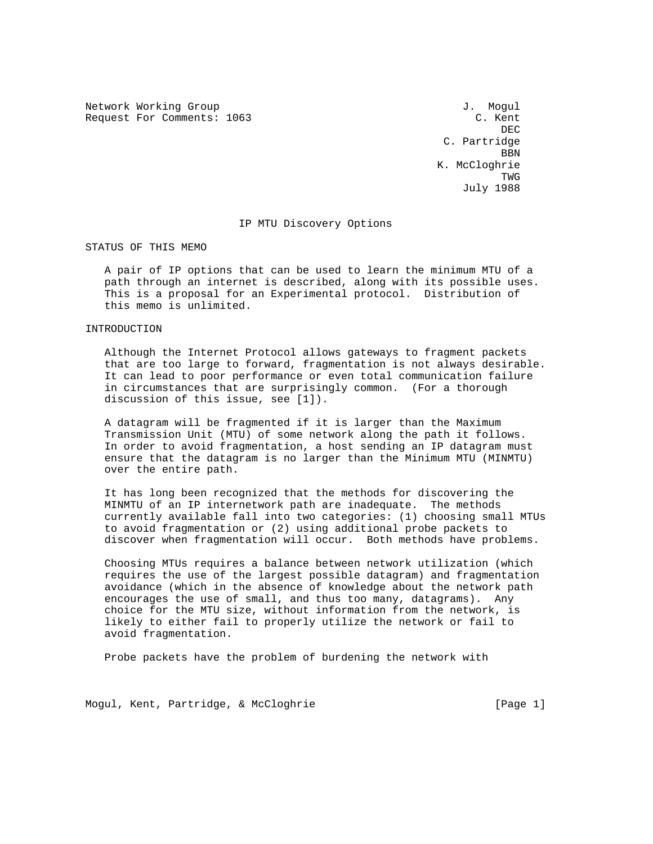Network Working Group and the set of the set of the Mogular Model of the Mogular Model of the Mogular Model of the Mogular Model of the Mogular Model of the Model of the Model of the Model of the Model of the Model of the Request For Comments: 1063 C. Kent

**DEC DEC**  C. Partridge <u>BBN 1989 - Ann an Dùbhlachd ann an Dùbhlachd ann an Dùbhlachd ann an Dùbhlachd ann an Dùbhlachd ann an Dùbhlachd ann an Dùbhlachd ann an Dùbhlachd ann an Dùbhlachd ann an Dùbhlachd ann an Dùbhlachd ann an Dùbhlachd ann an</u> K. McCloghrie TWG July 1988

### IP MTU Discovery Options

STATUS OF THIS MEMO

 A pair of IP options that can be used to learn the minimum MTU of a path through an internet is described, along with its possible uses. This is a proposal for an Experimental protocol. Distribution of this memo is unlimited.

INTRODUCTION

 Although the Internet Protocol allows gateways to fragment packets that are too large to forward, fragmentation is not always desirable. It can lead to poor performance or even total communication failure in circumstances that are surprisingly common. (For a thorough discussion of this issue, see [1]).

 A datagram will be fragmented if it is larger than the Maximum Transmission Unit (MTU) of some network along the path it follows. In order to avoid fragmentation, a host sending an IP datagram must ensure that the datagram is no larger than the Minimum MTU (MINMTU) over the entire path.

 It has long been recognized that the methods for discovering the MINMTU of an IP internetwork path are inadequate. The methods currently available fall into two categories: (1) choosing small MTUs to avoid fragmentation or (2) using additional probe packets to discover when fragmentation will occur. Both methods have problems.

 Choosing MTUs requires a balance between network utilization (which requires the use of the largest possible datagram) and fragmentation avoidance (which in the absence of knowledge about the network path encourages the use of small, and thus too many, datagrams). Any choice for the MTU size, without information from the network, is likely to either fail to properly utilize the network or fail to avoid fragmentation.

Probe packets have the problem of burdening the network with

Mogul, Kent, Partridge, & McCloghrie [Page 1]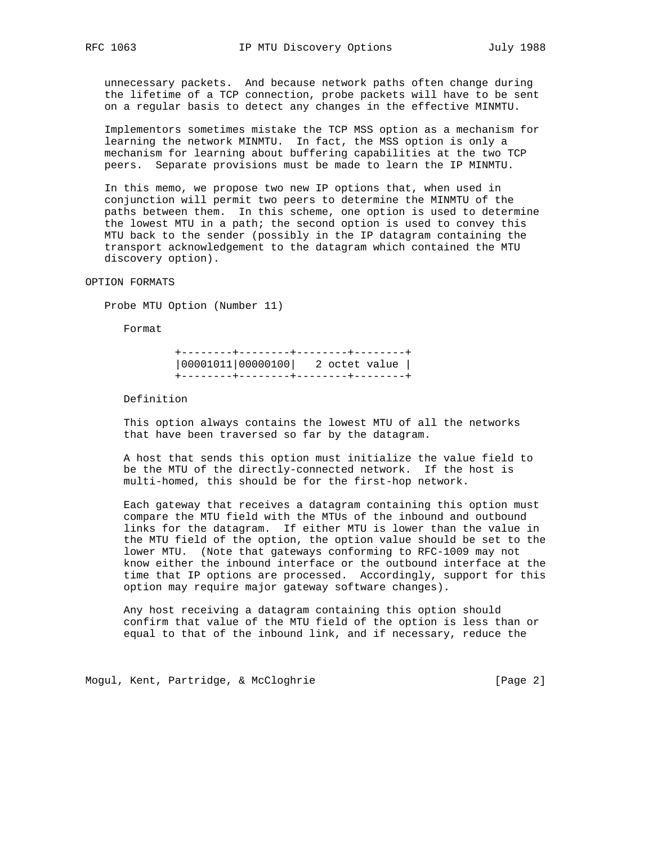unnecessary packets. And because network paths often change during the lifetime of a TCP connection, probe packets will have to be sent on a regular basis to detect any changes in the effective MINMTU.

 Implementors sometimes mistake the TCP MSS option as a mechanism for learning the network MINMTU. In fact, the MSS option is only a mechanism for learning about buffering capabilities at the two TCP peers. Separate provisions must be made to learn the IP MINMTU.

 In this memo, we propose two new IP options that, when used in conjunction will permit two peers to determine the MINMTU of the paths between them. In this scheme, one option is used to determine the lowest MTU in a path; the second option is used to convey this MTU back to the sender (possibly in the IP datagram containing the transport acknowledgement to the datagram which contained the MTU discovery option).

OPTION FORMATS

Probe MTU Option (Number 11)

Format

 +--------+--------+--------+--------+ |00001011|00000100| 2 octet value | +--------+--------+--------+--------+

Definition

 This option always contains the lowest MTU of all the networks that have been traversed so far by the datagram.

 A host that sends this option must initialize the value field to be the MTU of the directly-connected network. If the host is multi-homed, this should be for the first-hop network.

 Each gateway that receives a datagram containing this option must compare the MTU field with the MTUs of the inbound and outbound links for the datagram. If either MTU is lower than the value in the MTU field of the option, the option value should be set to the lower MTU. (Note that gateways conforming to RFC-1009 may not know either the inbound interface or the outbound interface at the time that IP options are processed. Accordingly, support for this option may require major gateway software changes).

 Any host receiving a datagram containing this option should confirm that value of the MTU field of the option is less than or equal to that of the inbound link, and if necessary, reduce the

Mogul, Kent, Partridge, & McCloghrie [Page 2]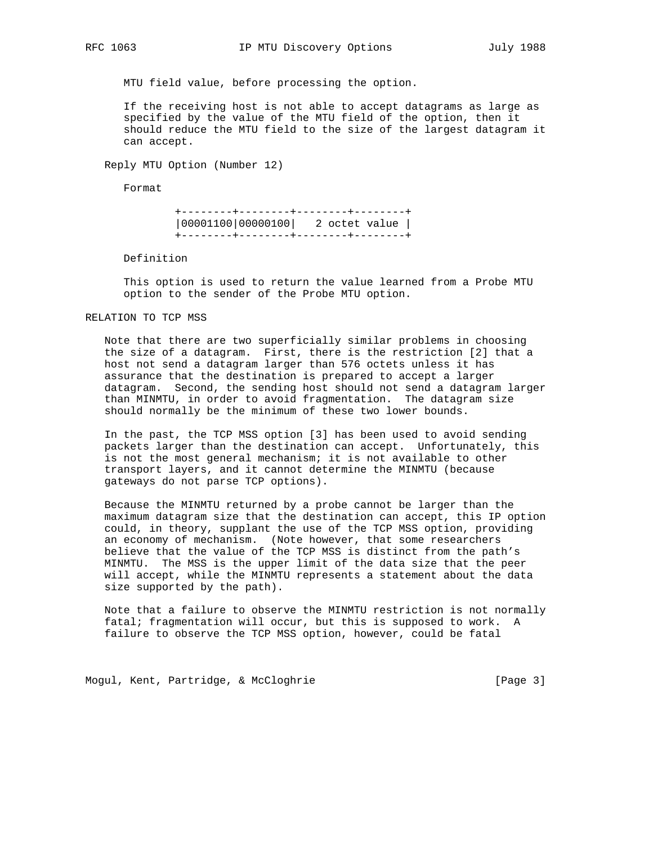MTU field value, before processing the option.

 If the receiving host is not able to accept datagrams as large as specified by the value of the MTU field of the option, then it should reduce the MTU field to the size of the largest datagram it can accept.

Reply MTU Option (Number 12)

Format

 +--------+--------+--------+--------+ |00001100|00000100| 2 octet value | +--------+--------+--------+--------+

Definition

 This option is used to return the value learned from a Probe MTU option to the sender of the Probe MTU option.

# RELATION TO TCP MSS

 Note that there are two superficially similar problems in choosing the size of a datagram. First, there is the restriction [2] that a host not send a datagram larger than 576 octets unless it has assurance that the destination is prepared to accept a larger datagram. Second, the sending host should not send a datagram larger than MINMTU, in order to avoid fragmentation. The datagram size should normally be the minimum of these two lower bounds.

 In the past, the TCP MSS option [3] has been used to avoid sending packets larger than the destination can accept. Unfortunately, this is not the most general mechanism; it is not available to other transport layers, and it cannot determine the MINMTU (because gateways do not parse TCP options).

 Because the MINMTU returned by a probe cannot be larger than the maximum datagram size that the destination can accept, this IP option could, in theory, supplant the use of the TCP MSS option, providing an economy of mechanism. (Note however, that some researchers believe that the value of the TCP MSS is distinct from the path's MINMTU. The MSS is the upper limit of the data size that the peer will accept, while the MINMTU represents a statement about the data size supported by the path).

 Note that a failure to observe the MINMTU restriction is not normally fatal; fragmentation will occur, but this is supposed to work. A failure to observe the TCP MSS option, however, could be fatal

Mogul, Kent, Partridge, & McCloghrie [Page 3]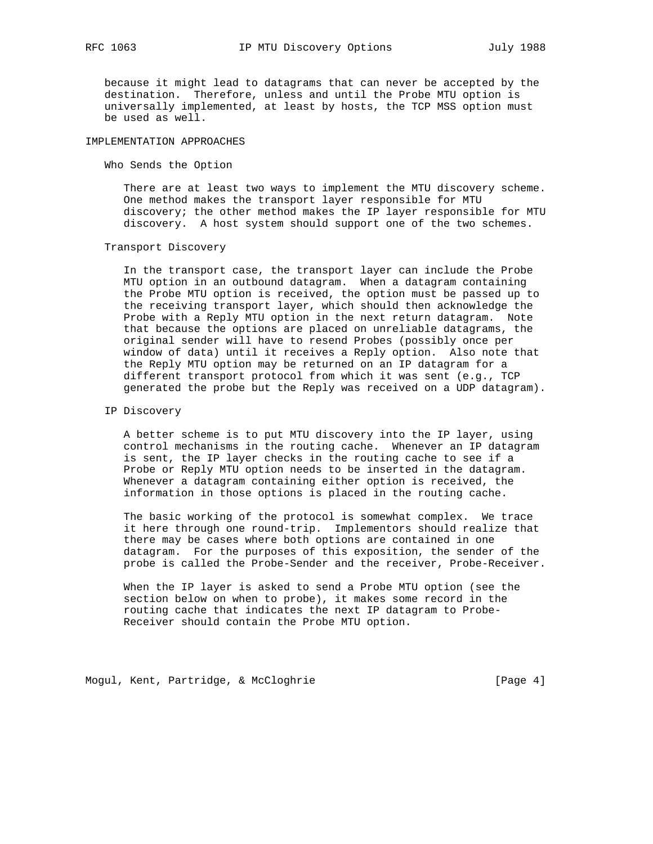because it might lead to datagrams that can never be accepted by the destination. Therefore, unless and until the Probe MTU option is universally implemented, at least by hosts, the TCP MSS option must be used as well.

# IMPLEMENTATION APPROACHES

Who Sends the Option

 There are at least two ways to implement the MTU discovery scheme. One method makes the transport layer responsible for MTU discovery; the other method makes the IP layer responsible for MTU discovery. A host system should support one of the two schemes.

#### Transport Discovery

 In the transport case, the transport layer can include the Probe MTU option in an outbound datagram. When a datagram containing the Probe MTU option is received, the option must be passed up to the receiving transport layer, which should then acknowledge the Probe with a Reply MTU option in the next return datagram. Note that because the options are placed on unreliable datagrams, the original sender will have to resend Probes (possibly once per window of data) until it receives a Reply option. Also note that the Reply MTU option may be returned on an IP datagram for a different transport protocol from which it was sent (e.g., TCP generated the probe but the Reply was received on a UDP datagram).

# IP Discovery

 A better scheme is to put MTU discovery into the IP layer, using control mechanisms in the routing cache. Whenever an IP datagram is sent, the IP layer checks in the routing cache to see if a Probe or Reply MTU option needs to be inserted in the datagram. Whenever a datagram containing either option is received, the information in those options is placed in the routing cache.

 The basic working of the protocol is somewhat complex. We trace it here through one round-trip. Implementors should realize that there may be cases where both options are contained in one datagram. For the purposes of this exposition, the sender of the probe is called the Probe-Sender and the receiver, Probe-Receiver.

 When the IP layer is asked to send a Probe MTU option (see the section below on when to probe), it makes some record in the routing cache that indicates the next IP datagram to Probe- Receiver should contain the Probe MTU option.

Mogul, Kent, Partridge, & McCloghrie [Page 4]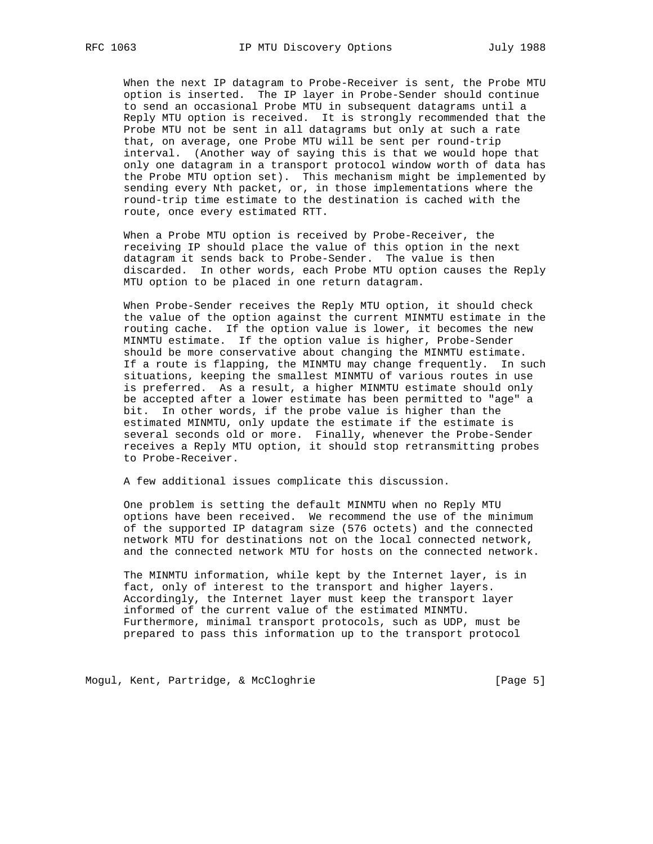When the next IP datagram to Probe-Receiver is sent, the Probe MTU option is inserted. The IP layer in Probe-Sender should continue to send an occasional Probe MTU in subsequent datagrams until a Reply MTU option is received. It is strongly recommended that the Probe MTU not be sent in all datagrams but only at such a rate that, on average, one Probe MTU will be sent per round-trip interval. (Another way of saying this is that we would hope that only one datagram in a transport protocol window worth of data has the Probe MTU option set). This mechanism might be implemented by sending every Nth packet, or, in those implementations where the round-trip time estimate to the destination is cached with the route, once every estimated RTT.

 When a Probe MTU option is received by Probe-Receiver, the receiving IP should place the value of this option in the next datagram it sends back to Probe-Sender. The value is then discarded. In other words, each Probe MTU option causes the Reply MTU option to be placed in one return datagram.

 When Probe-Sender receives the Reply MTU option, it should check the value of the option against the current MINMTU estimate in the routing cache. If the option value is lower, it becomes the new MINMTU estimate. If the option value is higher, Probe-Sender should be more conservative about changing the MINMTU estimate. If a route is flapping, the MINMTU may change frequently. In such situations, keeping the smallest MINMTU of various routes in use is preferred. As a result, a higher MINMTU estimate should only be accepted after a lower estimate has been permitted to "age" a bit. In other words, if the probe value is higher than the estimated MINMTU, only update the estimate if the estimate is several seconds old or more. Finally, whenever the Probe-Sender receives a Reply MTU option, it should stop retransmitting probes to Probe-Receiver.

A few additional issues complicate this discussion.

 One problem is setting the default MINMTU when no Reply MTU options have been received. We recommend the use of the minimum of the supported IP datagram size (576 octets) and the connected network MTU for destinations not on the local connected network, and the connected network MTU for hosts on the connected network.

 The MINMTU information, while kept by the Internet layer, is in fact, only of interest to the transport and higher layers. Accordingly, the Internet layer must keep the transport layer informed of the current value of the estimated MINMTU. Furthermore, minimal transport protocols, such as UDP, must be prepared to pass this information up to the transport protocol

Mogul, Kent, Partridge, & McCloghrie [Page 5]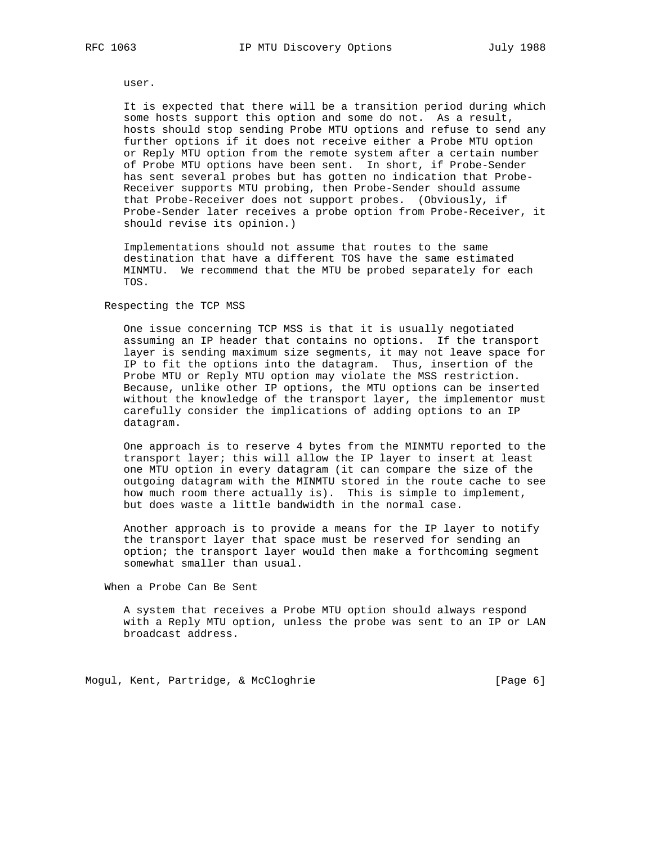user.

 It is expected that there will be a transition period during which some hosts support this option and some do not. As a result, hosts should stop sending Probe MTU options and refuse to send any further options if it does not receive either a Probe MTU option or Reply MTU option from the remote system after a certain number of Probe MTU options have been sent. In short, if Probe-Sender has sent several probes but has gotten no indication that Probe- Receiver supports MTU probing, then Probe-Sender should assume that Probe-Receiver does not support probes. (Obviously, if Probe-Sender later receives a probe option from Probe-Receiver, it should revise its opinion.)

 Implementations should not assume that routes to the same destination that have a different TOS have the same estimated MINMTU. We recommend that the MTU be probed separately for each TOS.

#### Respecting the TCP MSS

 One issue concerning TCP MSS is that it is usually negotiated assuming an IP header that contains no options. If the transport layer is sending maximum size segments, it may not leave space for IP to fit the options into the datagram. Thus, insertion of the Probe MTU or Reply MTU option may violate the MSS restriction. Because, unlike other IP options, the MTU options can be inserted without the knowledge of the transport layer, the implementor must carefully consider the implications of adding options to an IP datagram.

 One approach is to reserve 4 bytes from the MINMTU reported to the transport layer; this will allow the IP layer to insert at least one MTU option in every datagram (it can compare the size of the outgoing datagram with the MINMTU stored in the route cache to see how much room there actually is). This is simple to implement, but does waste a little bandwidth in the normal case.

 Another approach is to provide a means for the IP layer to notify the transport layer that space must be reserved for sending an option; the transport layer would then make a forthcoming segment somewhat smaller than usual.

When a Probe Can Be Sent

 A system that receives a Probe MTU option should always respond with a Reply MTU option, unless the probe was sent to an IP or LAN broadcast address.

Mogul, Kent, Partridge, & McCloghrie [Page 6]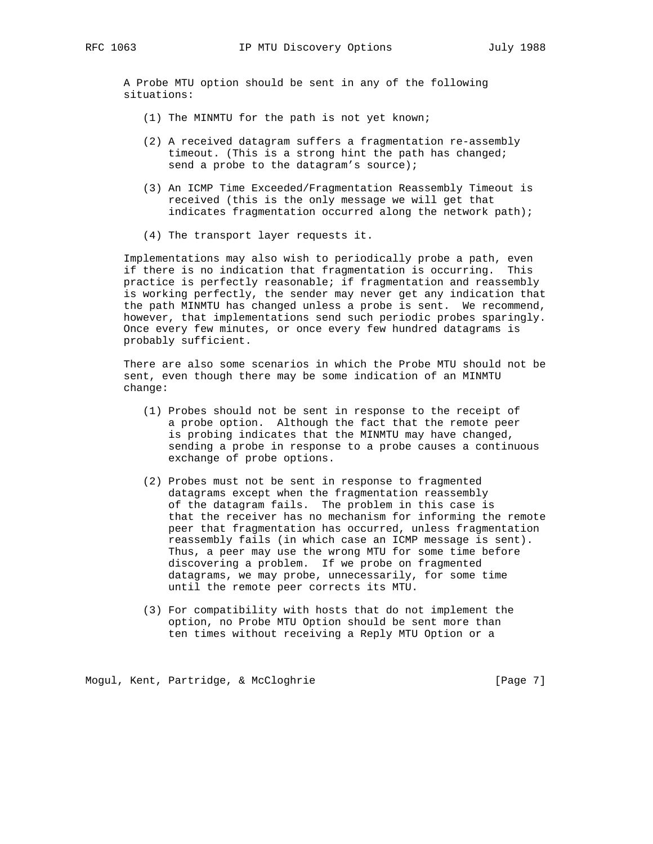A Probe MTU option should be sent in any of the following situations:

- (1) The MINMTU for the path is not yet known;
- (2) A received datagram suffers a fragmentation re-assembly timeout. (This is a strong hint the path has changed; send a probe to the datagram's source);
- (3) An ICMP Time Exceeded/Fragmentation Reassembly Timeout is received (this is the only message we will get that indicates fragmentation occurred along the network path);
- (4) The transport layer requests it.

 Implementations may also wish to periodically probe a path, even if there is no indication that fragmentation is occurring. This practice is perfectly reasonable; if fragmentation and reassembly is working perfectly, the sender may never get any indication that the path MINMTU has changed unless a probe is sent. We recommend, however, that implementations send such periodic probes sparingly. Once every few minutes, or once every few hundred datagrams is probably sufficient.

 There are also some scenarios in which the Probe MTU should not be sent, even though there may be some indication of an MINMTU change:

- (1) Probes should not be sent in response to the receipt of a probe option. Although the fact that the remote peer is probing indicates that the MINMTU may have changed, sending a probe in response to a probe causes a continuous exchange of probe options.
- (2) Probes must not be sent in response to fragmented datagrams except when the fragmentation reassembly of the datagram fails. The problem in this case is that the receiver has no mechanism for informing the remote peer that fragmentation has occurred, unless fragmentation reassembly fails (in which case an ICMP message is sent). Thus, a peer may use the wrong MTU for some time before discovering a problem. If we probe on fragmented datagrams, we may probe, unnecessarily, for some time until the remote peer corrects its MTU.
- (3) For compatibility with hosts that do not implement the option, no Probe MTU Option should be sent more than ten times without receiving a Reply MTU Option or a

Mogul, Kent, Partridge, & McCloghrie [Page 7]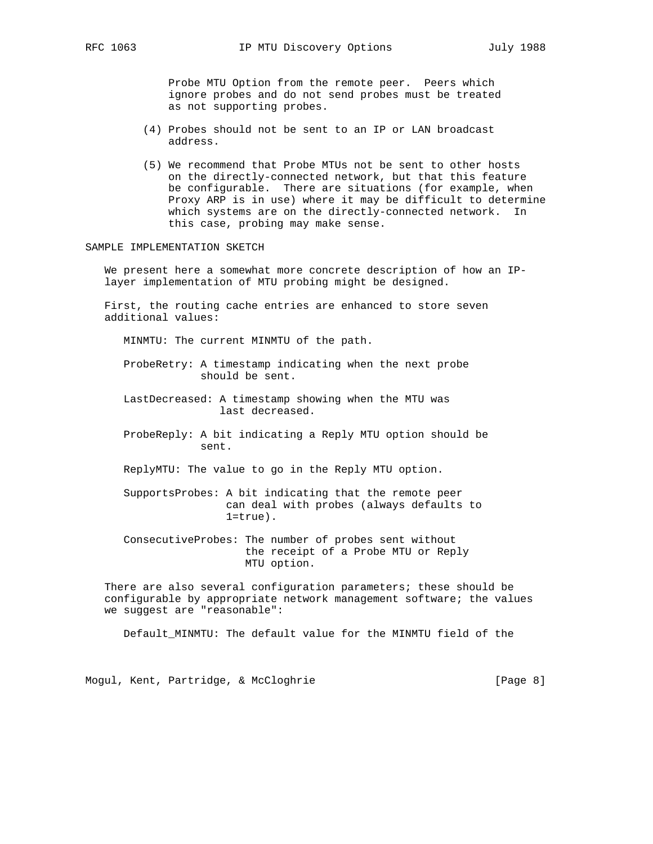Probe MTU Option from the remote peer. Peers which ignore probes and do not send probes must be treated as not supporting probes.

- (4) Probes should not be sent to an IP or LAN broadcast address.
- (5) We recommend that Probe MTUs not be sent to other hosts on the directly-connected network, but that this feature be configurable. There are situations (for example, when Proxy ARP is in use) where it may be difficult to determine which systems are on the directly-connected network. In this case, probing may make sense.

### SAMPLE IMPLEMENTATION SKETCH

 We present here a somewhat more concrete description of how an IP layer implementation of MTU probing might be designed.

 First, the routing cache entries are enhanced to store seven additional values:

MINMTU: The current MINMTU of the path.

- ProbeRetry: A timestamp indicating when the next probe should be sent.
- LastDecreased: A timestamp showing when the MTU was last decreased.
- ProbeReply: A bit indicating a Reply MTU option should be sent.
- ReplyMTU: The value to go in the Reply MTU option.
- SupportsProbes: A bit indicating that the remote peer can deal with probes (always defaults to  $1$ =true).
- ConsecutiveProbes: The number of probes sent without the receipt of a Probe MTU or Reply MTU option.

 There are also several configuration parameters; these should be configurable by appropriate network management software; the values we suggest are "reasonable":

Default\_MINMTU: The default value for the MINMTU field of the

Mogul, Kent, Partridge, & McCloghrie [Page 8]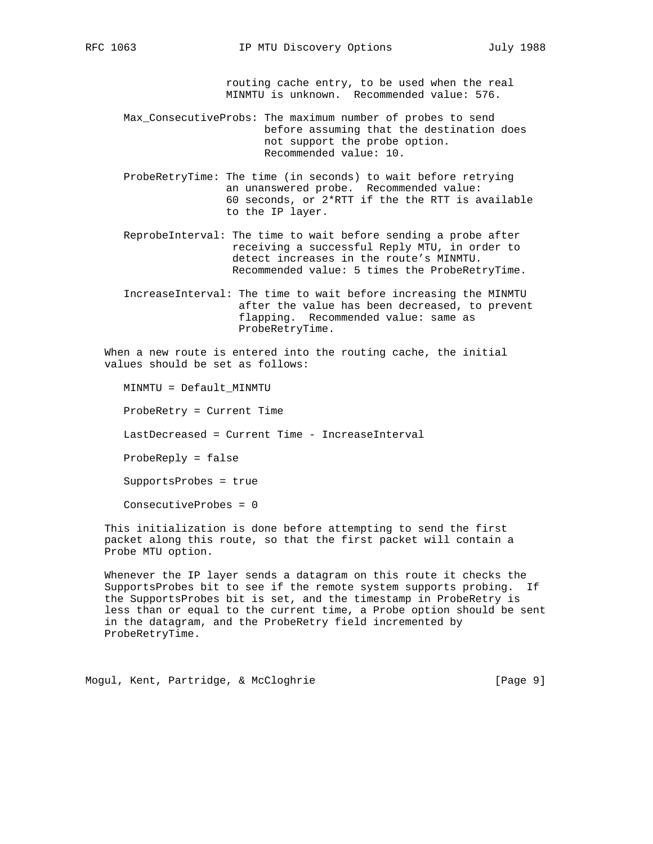routing cache entry, to be used when the real MINMTU is unknown. Recommended value: 576.

 Max\_ConsecutiveProbs: The maximum number of probes to send before assuming that the destination does not support the probe option. Recommended value: 10.

- ProbeRetryTime: The time (in seconds) to wait before retrying an unanswered probe. Recommended value: 60 seconds, or 2\*RTT if the the RTT is available to the IP layer.
- ReprobeInterval: The time to wait before sending a probe after receiving a successful Reply MTU, in order to detect increases in the route's MINMTU. Recommended value: 5 times the ProbeRetryTime.
- IncreaseInterval: The time to wait before increasing the MINMTU after the value has been decreased, to prevent flapping. Recommended value: same as ProbeRetryTime.

 When a new route is entered into the routing cache, the initial values should be set as follows:

 MINMTU = Default\_MINMTU ProbeRetry = Current Time LastDecreased = Current Time - IncreaseInterval ProbeReply = false SupportsProbes = true ConsecutiveProbes = 0

 This initialization is done before attempting to send the first packet along this route, so that the first packet will contain a Probe MTU option.

 Whenever the IP layer sends a datagram on this route it checks the SupportsProbes bit to see if the remote system supports probing. If the SupportsProbes bit is set, and the timestamp in ProbeRetry is less than or equal to the current time, a Probe option should be sent in the datagram, and the ProbeRetry field incremented by ProbeRetryTime.

Mogul, Kent, Partridge, & McCloghrie [Page 9]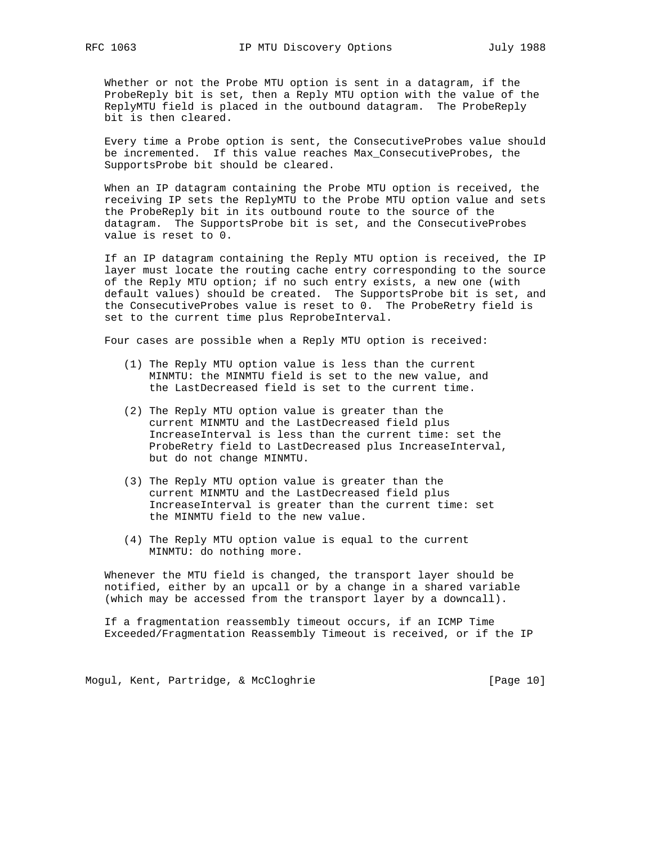Whether or not the Probe MTU option is sent in a datagram, if the ProbeReply bit is set, then a Reply MTU option with the value of the ReplyMTU field is placed in the outbound datagram. The ProbeReply bit is then cleared.

 Every time a Probe option is sent, the ConsecutiveProbes value should be incremented. If this value reaches Max\_ConsecutiveProbes, the SupportsProbe bit should be cleared.

 When an IP datagram containing the Probe MTU option is received, the receiving IP sets the ReplyMTU to the Probe MTU option value and sets the ProbeReply bit in its outbound route to the source of the datagram. The SupportsProbe bit is set, and the ConsecutiveProbes value is reset to 0.

 If an IP datagram containing the Reply MTU option is received, the IP layer must locate the routing cache entry corresponding to the source of the Reply MTU option; if no such entry exists, a new one (with default values) should be created. The SupportsProbe bit is set, and the ConsecutiveProbes value is reset to 0. The ProbeRetry field is set to the current time plus ReprobeInterval.

Four cases are possible when a Reply MTU option is received:

- (1) The Reply MTU option value is less than the current MINMTU: the MINMTU field is set to the new value, and the LastDecreased field is set to the current time.
- (2) The Reply MTU option value is greater than the current MINMTU and the LastDecreased field plus IncreaseInterval is less than the current time: set the ProbeRetry field to LastDecreased plus IncreaseInterval, but do not change MINMTU.
- (3) The Reply MTU option value is greater than the current MINMTU and the LastDecreased field plus IncreaseInterval is greater than the current time: set the MINMTU field to the new value.
- (4) The Reply MTU option value is equal to the current MINMTU: do nothing more.

 Whenever the MTU field is changed, the transport layer should be notified, either by an upcall or by a change in a shared variable (which may be accessed from the transport layer by a downcall).

 If a fragmentation reassembly timeout occurs, if an ICMP Time Exceeded/Fragmentation Reassembly Timeout is received, or if the IP

Mogul, Kent, Partridge, & McCloghrie [Page 10]